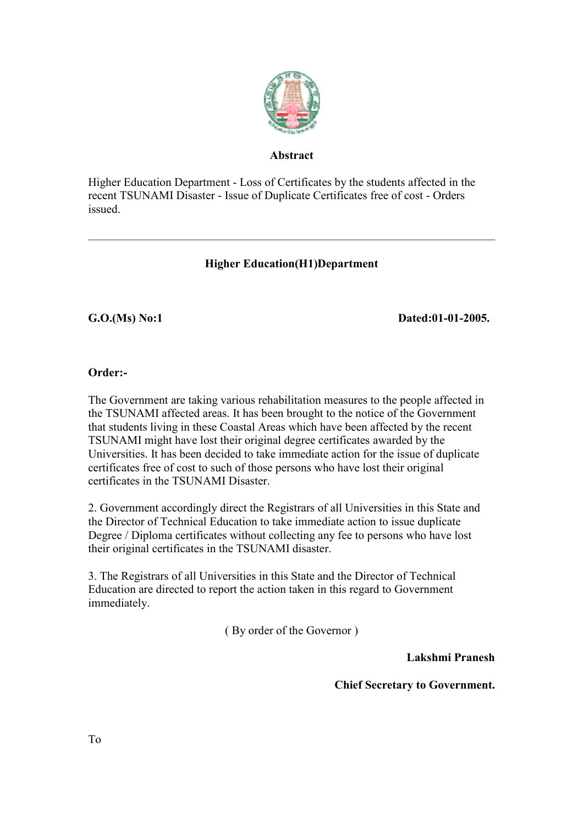

## **Abstract**

Higher Education Department - Loss of Certificates by the students affected in the recent TSUNAMI Disaster - Issue of Duplicate Certificates free of cost - Orders issued.

## **Higher Education(H1)Department**

G.O.(Ms) No:1 Dated:01-01-2005.

## **Order:-**

The Government are taking various rehabilitation measures to the people affected in the TSUNAMI affected areas. It has been brought to the notice of the Government that students living in these Coastal Areas which have been affected by the recent TSUNAMI might have lost their original degree certificates awarded by the Universities. It has been decided to take immediate action for the issue of duplicate certificates free of cost to such of those persons who have lost their original certificates in the TSUNAMI Disaster.

2. Government accordingly direct the Registrars of all Universities in this State and the Director of Technical Education to take immediate action to issue duplicate Degree / Diploma certificates without collecting any fee to persons who have lost their original certificates in the TSUNAMI disaster.

3. The Registrars of all Universities in this State and the Director of Technical Education are directed to report the action taken in this regard to Government immediately.

( By order of the Governor )

**Lakshmi Pranesh**

**Chief Secretary to Government.**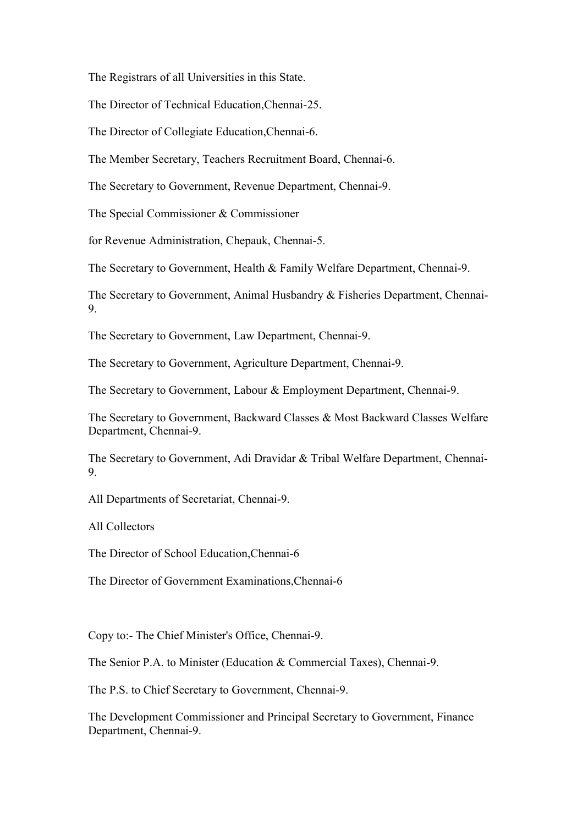The Registrars of all Universities in this State.

The Director of Technical Education,Chennai-25.

The Director of Collegiate Education,Chennai-6.

The Member Secretary, Teachers Recruitment Board, Chennai-6.

The Secretary to Government, Revenue Department, Chennai-9.

The Special Commissioner & Commissioner

for Revenue Administration, Chepauk, Chennai-5.

The Secretary to Government, Health & Family Welfare Department, Chennai-9.

The Secretary to Government, Animal Husbandry & Fisheries Department, Chennai-9.

The Secretary to Government, Law Department, Chennai-9.

The Secretary to Government, Agriculture Department, Chennai-9.

The Secretary to Government, Labour & Employment Department, Chennai-9.

The Secretary to Government, Backward Classes & Most Backward Classes Welfare Department, Chennai-9.

The Secretary to Government, Adi Dravidar & Tribal Welfare Department, Chennai-9.

All Departments of Secretariat, Chennai-9.

All Collectors

The Director of School Education,Chennai-6

The Director of Government Examinations,Chennai-6

Copy to:- The Chief Minister's Office, Chennai-9.

The Senior P.A. to Minister (Education & Commercial Taxes), Chennai-9.

The P.S. to Chief Secretary to Government, Chennai-9.

The Development Commissioner and Principal Secretary to Government, Finance Department, Chennai-9.